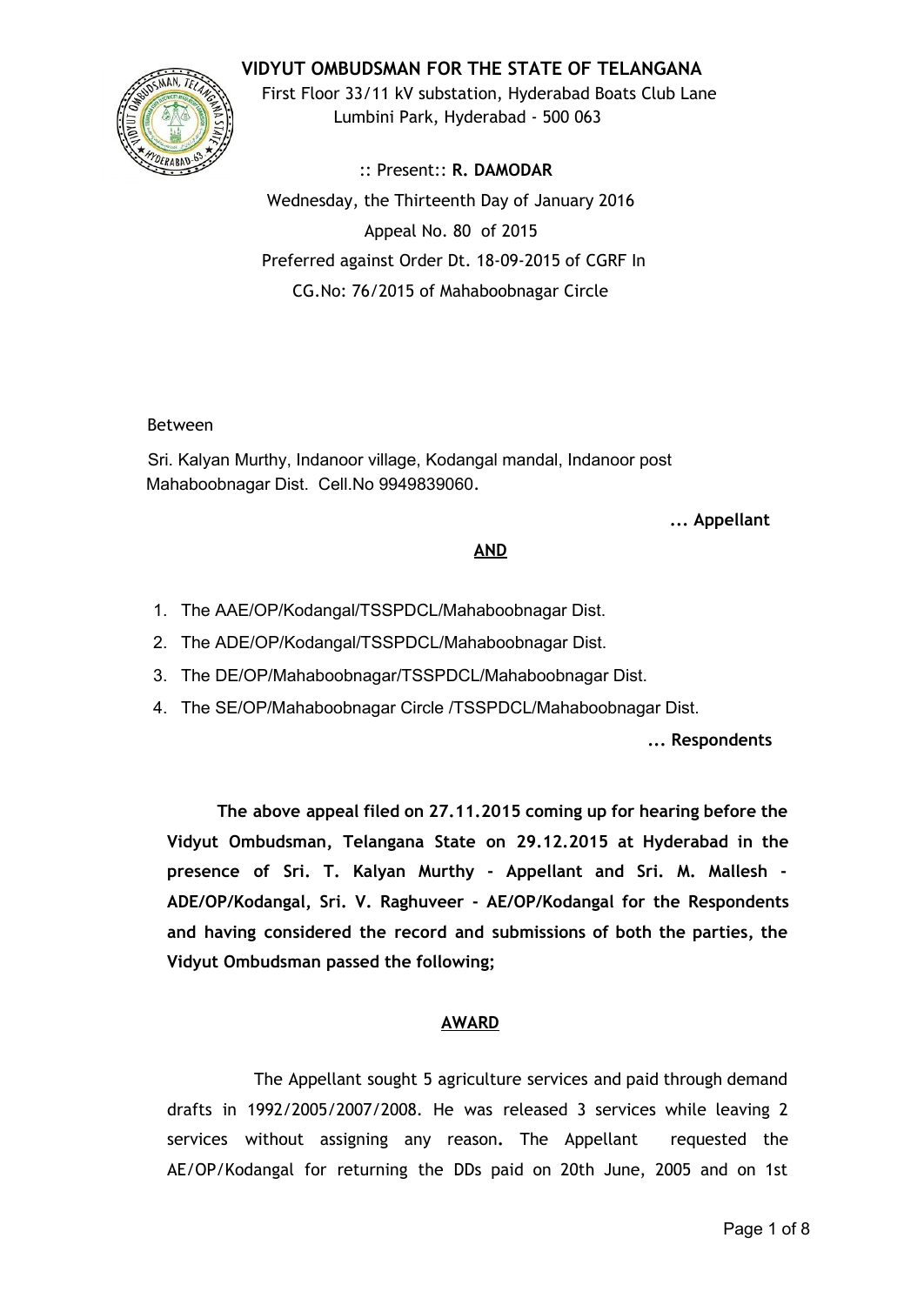# **VIDYUT OMBUDSMAN FOR THE STATE OF TELANGANA**



First Floor 33/11 kV substation, Hyderabad Boats Club Lane Lumbini Park, Hyderabad - 500 063

:: Present:: **R. DAMODAR** Wednesday, the Thirteenth Day of January 2016 Appeal No. 80 of 2015 Preferred against Order Dt. 18-09-2015 of CGRF In CG.No: 76/2015 of Mahaboobnagar Circle

### Between

Sri. Kalyan Murthy, Indanoor village, Kodangal mandal, Indanoor post Mahaboobnagar Dist. Cell.No 9949839060.

### **... Appellant**

### **AND**

- 1. The AAE/OP/Kodangal/TSSPDCL/Mahaboobnagar Dist.
- 2. The ADE/OP/Kodangal/TSSPDCL/Mahaboobnagar Dist.
- 3. The DE/OP/Mahaboobnagar/TSSPDCL/Mahaboobnagar Dist.
- 4. The SE/OP/Mahaboobnagar Circle /TSSPDCL/Mahaboobnagar Dist.

**... Respondents**

**The above appeal filed on 27.11.2015 coming up for hearing before the Vidyut Ombudsman, Telangana State on 29.12.2015 at Hyderabad in the presence of Sri. T. Kalyan Murthy - Appellant and Sri. M. Mallesh - ADE/OP/Kodangal, Sri. V. Raghuveer - AE/OP/Kodangal for the Respondents and having considered the record and submissions of both the parties, the Vidyut Ombudsman passed the following;**

### **AWARD**

The Appellant sought 5 agriculture services and paid through demand drafts in 1992/2005/2007/2008. He was released 3 services while leaving 2 services without assigning any reason**.** The Appellant requested the AE/OP/Kodangal for returning the DDs paid on 20th June, 2005 and on 1st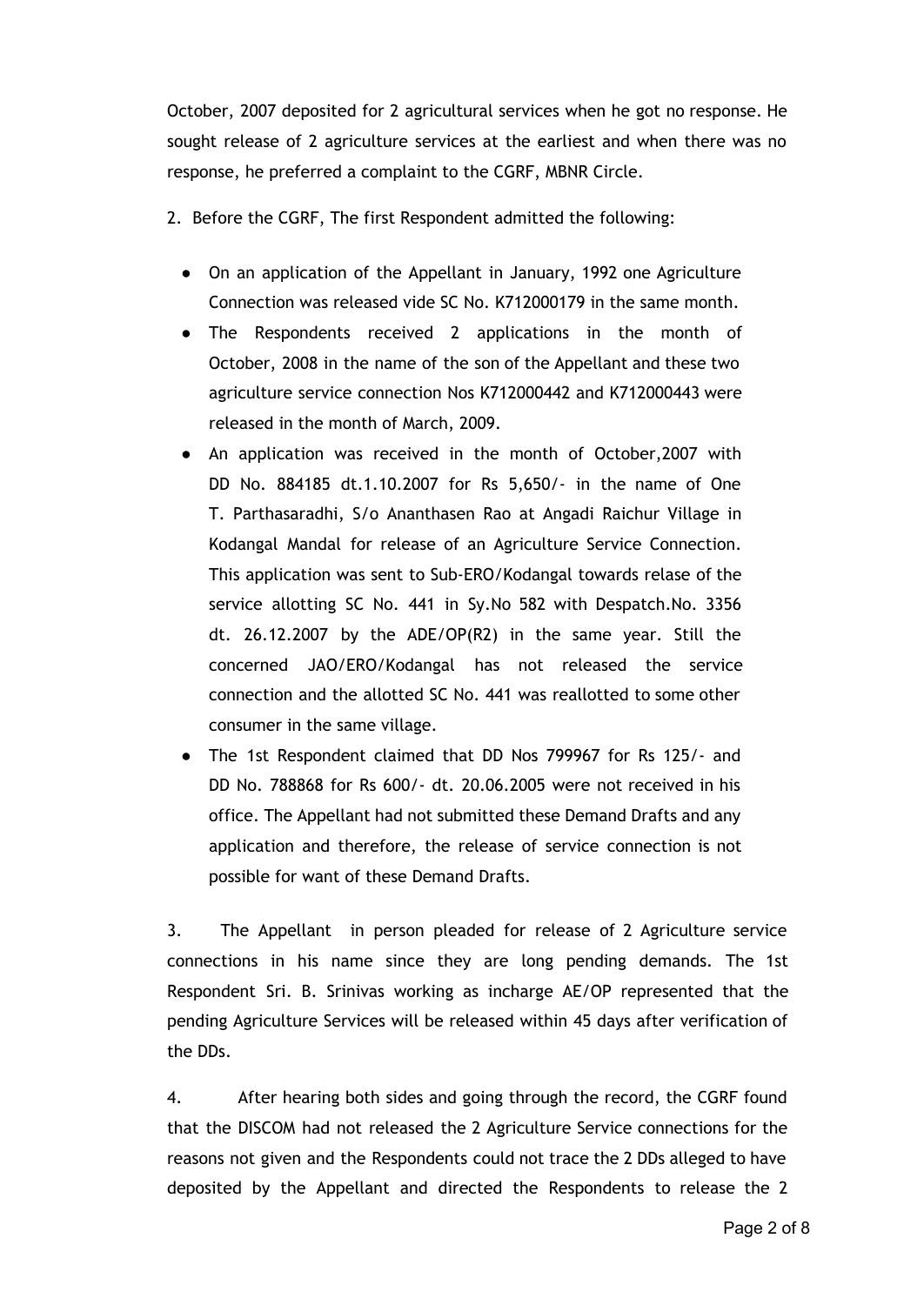October, 2007 deposited for 2 agricultural services when he got no response. He sought release of 2 agriculture services at the earliest and when there was no response, he preferred a complaint to the CGRF, MBNR Circle.

- 2. Before the CGRF, The first Respondent admitted the following:
	- On an application of the Appellant in January, 1992 one Agriculture Connection was released vide SC No. K712000179 in the same month.
	- The Respondents received 2 applications in the month of October, 2008 in the name of the son of the Appellant and these two agriculture service connection Nos K712000442 and K712000443 were released in the month of March, 2009.
	- An application was received in the month of October,2007 with DD No. 884185 dt.1.10.2007 for Rs 5,650/- in the name of One T. Parthasaradhi, S/o Ananthasen Rao at Angadi Raichur Village in Kodangal Mandal for release of an Agriculture Service Connection. This application was sent to Sub-ERO/Kodangal towards relase of the service allotting SC No. 441 in Sy.No 582 with Despatch.No. 3356 dt. 26.12.2007 by the ADE/OP(R2) in the same year. Still the concerned JAO/ERO/Kodangal has not released the service connection and the allotted SC No. 441 was reallotted to some other consumer in the same village.
	- The 1st Respondent claimed that DD Nos 799967 for Rs 125/- and DD No. 788868 for Rs 600/- dt. 20.06.2005 were not received in his office. The Appellant had not submitted these Demand Drafts and any application and therefore, the release of service connection is not possible for want of these Demand Drafts.

3. The Appellant in person pleaded for release of 2 Agriculture service connections in his name since they are long pending demands. The 1st Respondent Sri. B. Srinivas working as incharge AE/OP represented that the pending Agriculture Services will be released within 45 days after verification of the DDs.

4. After hearing both sides and going through the record, the CGRF found that the DISCOM had not released the 2 Agriculture Service connections for the reasons not given and the Respondents could not trace the 2 DDs alleged to have deposited by the Appellant and directed the Respondents to release the 2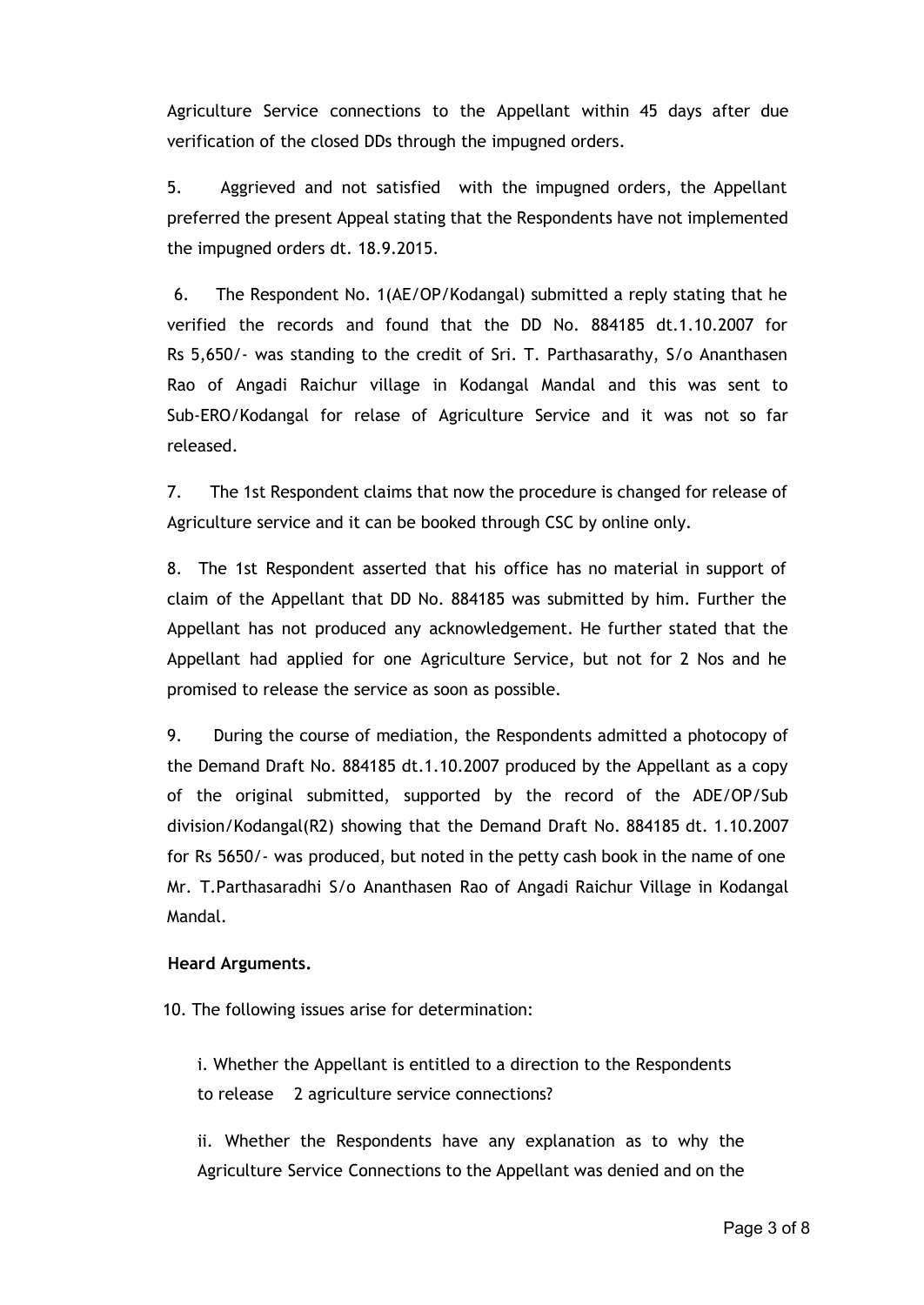Agriculture Service connections to the Appellant within 45 days after due verification of the closed DDs through the impugned orders.

5. Aggrieved and not satisfied with the impugned orders, the Appellant preferred the present Appeal stating that the Respondents have not implemented the impugned orders dt. 18.9.2015.

6. The Respondent No. 1(AE/OP/Kodangal) submitted a reply stating that he verified the records and found that the DD No. 884185 dt.1.10.2007 for Rs 5,650/- was standing to the credit of Sri. T. Parthasarathy, S/o Ananthasen Rao of Angadi Raichur village in Kodangal Mandal and this was sent to Sub-ERO/Kodangal for relase of Agriculture Service and it was not so far released.

7. The 1st Respondent claims that now the procedure is changed for release of Agriculture service and it can be booked through CSC by online only.

8. The 1st Respondent asserted that his office has no material in support of claim of the Appellant that DD No. 884185 was submitted by him. Further the Appellant has not produced any acknowledgement. He further stated that the Appellant had applied for one Agriculture Service, but not for 2 Nos and he promised to release the service as soon as possible.

9. During the course of mediation, the Respondents admitted a photocopy of the Demand Draft No. 884185 dt.1.10.2007 produced by the Appellant as a copy of the original submitted, supported by the record of the ADE/OP/Sub division/Kodangal(R2) showing that the Demand Draft No. 884185 dt. 1.10.2007 for Rs 5650/- was produced, but noted in the petty cash book in the name of one Mr. T.Parthasaradhi S/o Ananthasen Rao of Angadi Raichur Village in Kodangal Mandal.

#### **Heard Arguments.**

10. The following issues arise for determination:

i. Whether the Appellant is entitled to a direction to the Respondents to release 2 agriculture service connections?

ii. Whether the Respondents have any explanation as to why the Agriculture Service Connections to the Appellant was denied and on the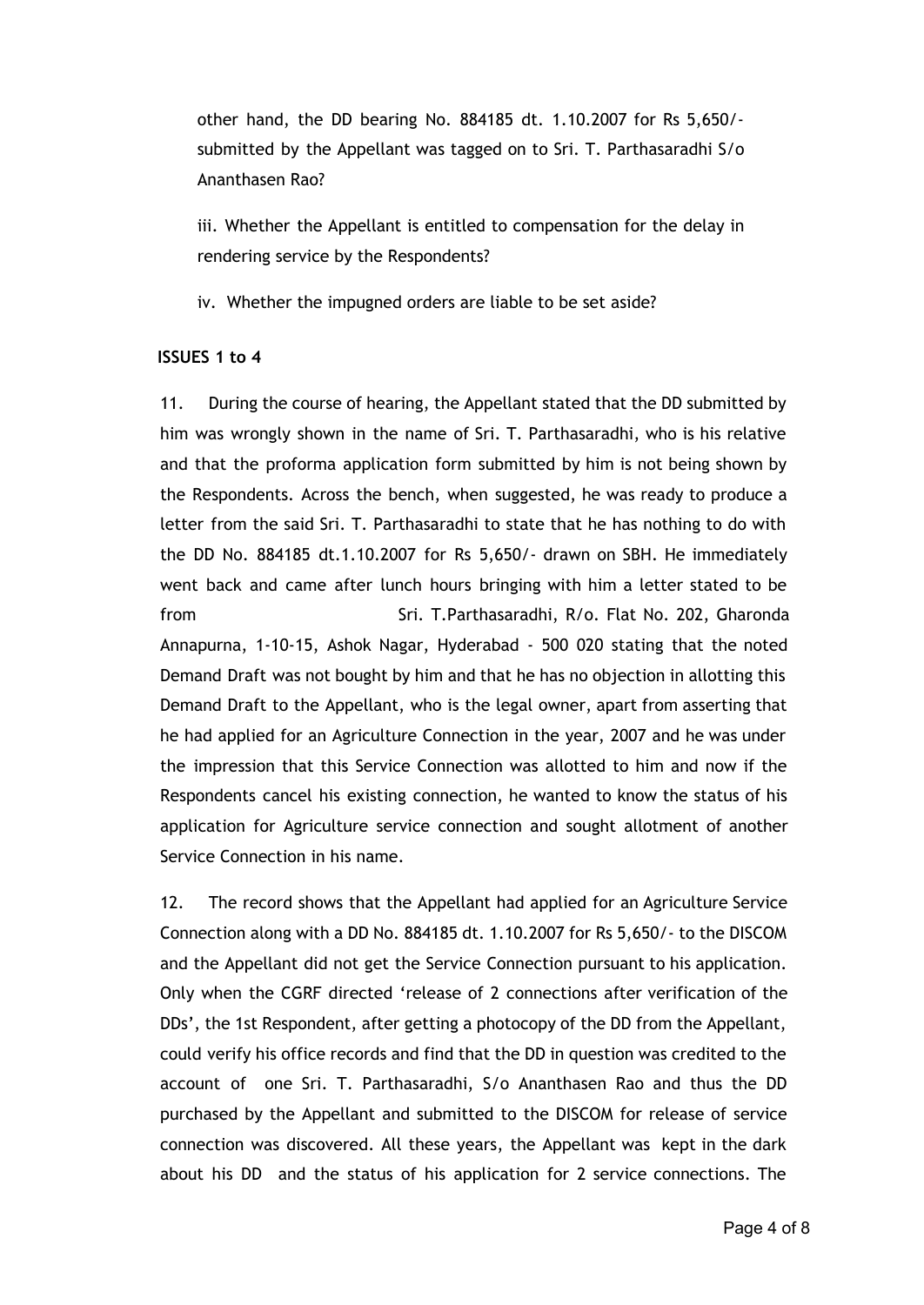other hand, the DD bearing No. 884185 dt. 1.10.2007 for Rs 5,650/ submitted by the Appellant was tagged on to Sri. T. Parthasaradhi S/o Ananthasen Rao?

iii. Whether the Appellant is entitled to compensation for the delay in rendering service by the Respondents?

iv. Whether the impugned orders are liable to be set aside?

# **ISSUES 1 to 4**

11. During the course of hearing, the Appellant stated that the DD submitted by him was wrongly shown in the name of Sri. T. Parthasaradhi, who is his relative and that the proforma application form submitted by him is not being shown by the Respondents. Across the bench, when suggested, he was ready to produce a letter from the said Sri. T. Parthasaradhi to state that he has nothing to do with the DD No. 884185 dt.1.10.2007 for Rs 5,650/- drawn on SBH. He immediately went back and came after lunch hours bringing with him a letter stated to be from Sri. T.Parthasaradhi, R/o. Flat No. 202, Gharonda Annapurna, 1-10-15, Ashok Nagar, Hyderabad - 500 020 stating that the noted Demand Draft was not bought by him and that he has no objection in allotting this Demand Draft to the Appellant, who is the legal owner, apart from asserting that he had applied for an Agriculture Connection in the year, 2007 and he was under the impression that this Service Connection was allotted to him and now if the Respondents cancel his existing connection, he wanted to know the status of his application for Agriculture service connection and sought allotment of another Service Connection in his name.

12. The record shows that the Appellant had applied for an Agriculture Service Connection along with a DD No. 884185 dt. 1.10.2007 for Rs 5,650/- to the DISCOM and the Appellant did not get the Service Connection pursuant to his application. Only when the CGRF directed 'release of 2 connections after verification of the DDs', the 1st Respondent, after getting a photocopy of the DD from the Appellant, could verify his office records and find that the DD in question was credited to the account of one Sri. T. Parthasaradhi, S/o Ananthasen Rao and thus the DD purchased by the Appellant and submitted to the DISCOM for release of service connection was discovered. All these years, the Appellant was kept in the dark about his DD and the status of his application for 2 service connections. The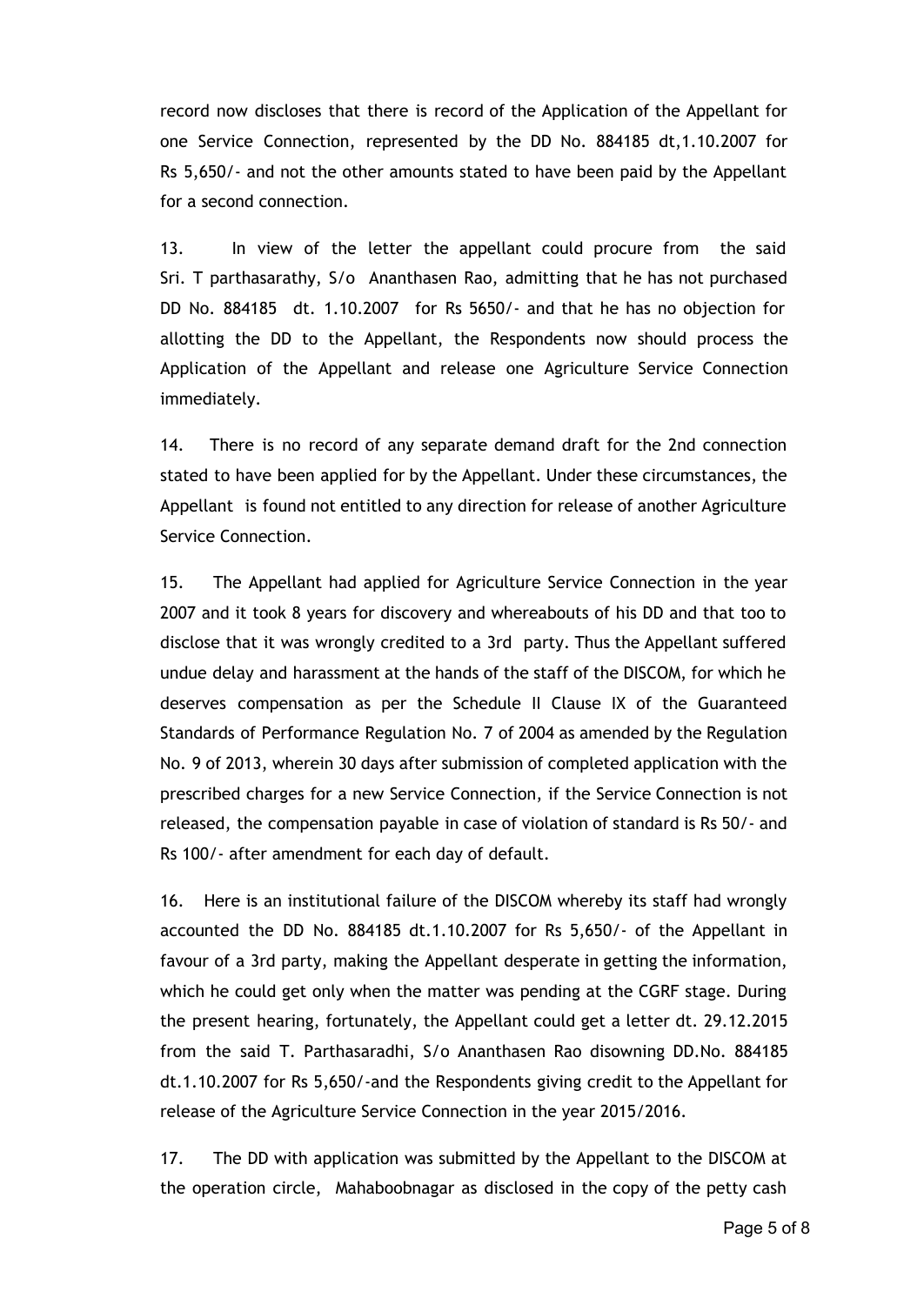record now discloses that there is record of the Application of the Appellant for one Service Connection, represented by the DD No. 884185 dt,1.10.2007 for Rs 5,650/- and not the other amounts stated to have been paid by the Appellant for a second connection.

13. In view of the letter the appellant could procure from the said Sri. T parthasarathy, S/o Ananthasen Rao, admitting that he has not purchased DD No. 884185 dt. 1.10.2007 for Rs 5650/- and that he has no objection for allotting the DD to the Appellant, the Respondents now should process the Application of the Appellant and release one Agriculture Service Connection immediately.

14. There is no record of any separate demand draft for the 2nd connection stated to have been applied for by the Appellant. Under these circumstances, the Appellant is found not entitled to any direction for release of another Agriculture Service Connection.

15. The Appellant had applied for Agriculture Service Connection in the year 2007 and it took 8 years for discovery and whereabouts of his DD and that too to disclose that it was wrongly credited to a 3rd party. Thus the Appellant suffered undue delay and harassment at the hands of the staff of the DISCOM, for which he deserves compensation as per the Schedule II Clause IX of the Guaranteed Standards of Performance Regulation No. 7 of 2004 as amended by the Regulation No. 9 of 2013, wherein 30 days after submission of completed application with the prescribed charges for a new Service Connection, if the Service Connection is not released, the compensation payable in case of violation of standard is Rs 50/- and Rs 100/- after amendment for each day of default.

16. Here is an institutional failure of the DISCOM whereby its staff had wrongly accounted the DD No. 884185 dt.1.10.2007 for Rs 5,650/- of the Appellant in favour of a 3rd party, making the Appellant desperate in getting the information, which he could get only when the matter was pending at the CGRF stage. During the present hearing, fortunately, the Appellant could get a letter dt. 29.12.2015 from the said T. Parthasaradhi, S/o Ananthasen Rao disowning DD.No. 884185 dt.1.10.2007 for Rs 5,650/-and the Respondents giving credit to the Appellant for release of the Agriculture Service Connection in the year 2015/2016.

17. The DD with application was submitted by the Appellant to the DISCOM at the operation circle, Mahaboobnagar as disclosed in the copy of the petty cash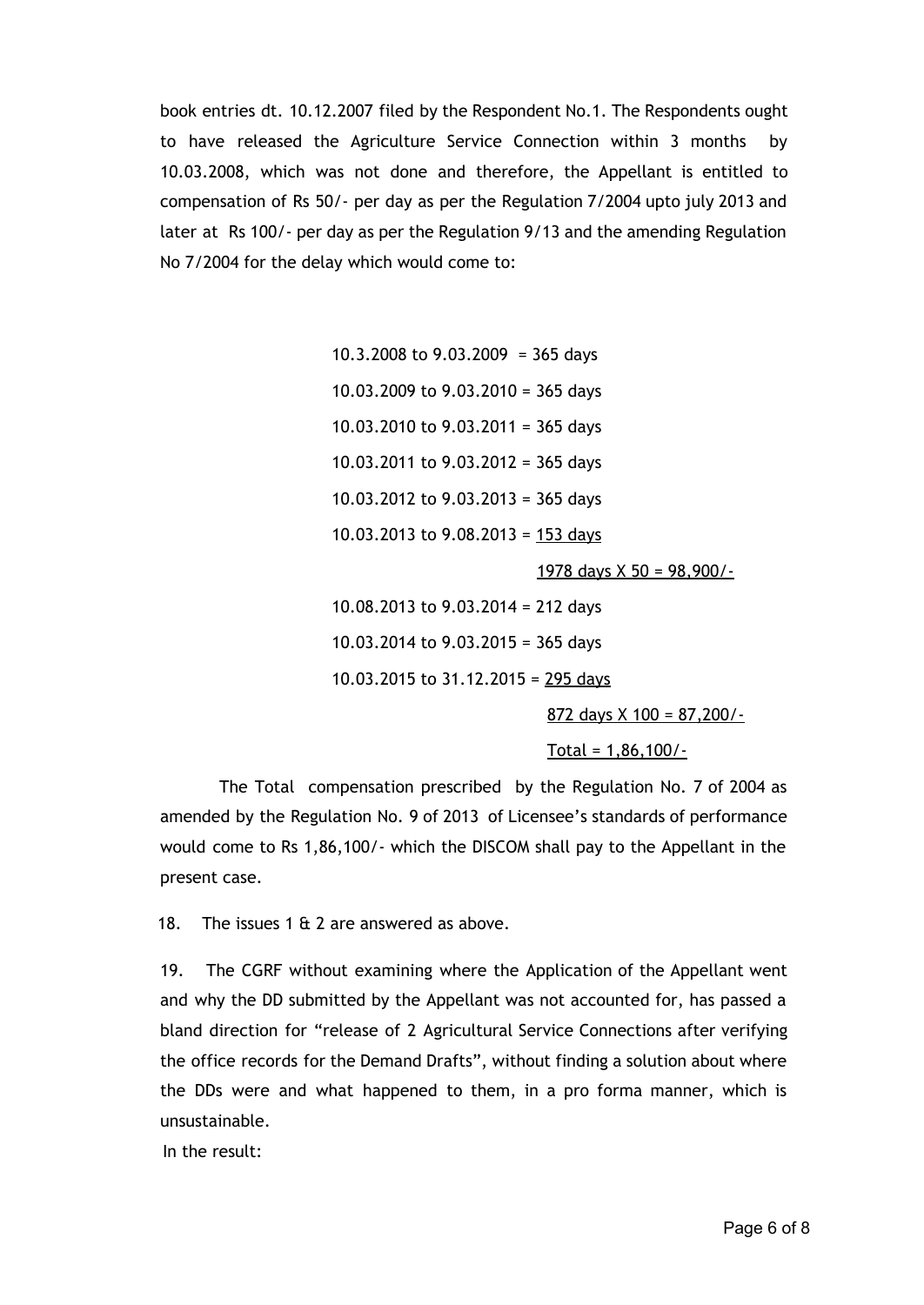book entries dt. 10.12.2007 filed by the Respondent No.1. The Respondents ought to have released the Agriculture Service Connection within 3 months by 10.03.2008, which was not done and therefore, the Appellant is entitled to compensation of Rs 50/- per day as per the Regulation 7/2004 upto july 2013 and later at Rs 100/- per day as per the Regulation 9/13 and the amending Regulation No 7/2004 for the delay which would come to:

> 10.3.2008 to  $9.03.2009 = 365$  days 10.03.2009 to 9.03.2010 = 365 days 10.03.2010 to 9.03.2011 = 365 days 10.03.2011 to 9.03.2012 = 365 days 10.03.2012 to 9.03.2013 = 365 days 10.03.2013 to 9.08.2013 = 153 days 1978 days  $X$  50 = 98,900/-

10.08.2013 to 9.03.2014 = 212 days 10.03.2014 to 9.03.2015 = 365 days 10.03.2015 to 31.12.2015 = 295 days

872 days X 100 = 87,200/-

Total =  $1,86,100/$ -

The Total compensation prescribed by the Regulation No. 7 of 2004 as amended by the Regulation No. 9 of 2013 of Licensee's standards of performance would come to Rs 1,86,100/- which the DISCOM shall pay to the Appellant in the present case.

18. The issues 1 & 2 are answered as above.

19. The CGRF without examining where the Application of the Appellant went and why the DD submitted by the Appellant was not accounted for, has passed a bland direction for "release of 2 Agricultural Service Connections after verifying the office records for the Demand Drafts", without finding a solution about where the DDs were and what happened to them, in a pro forma manner, which is unsustainable.

In the result: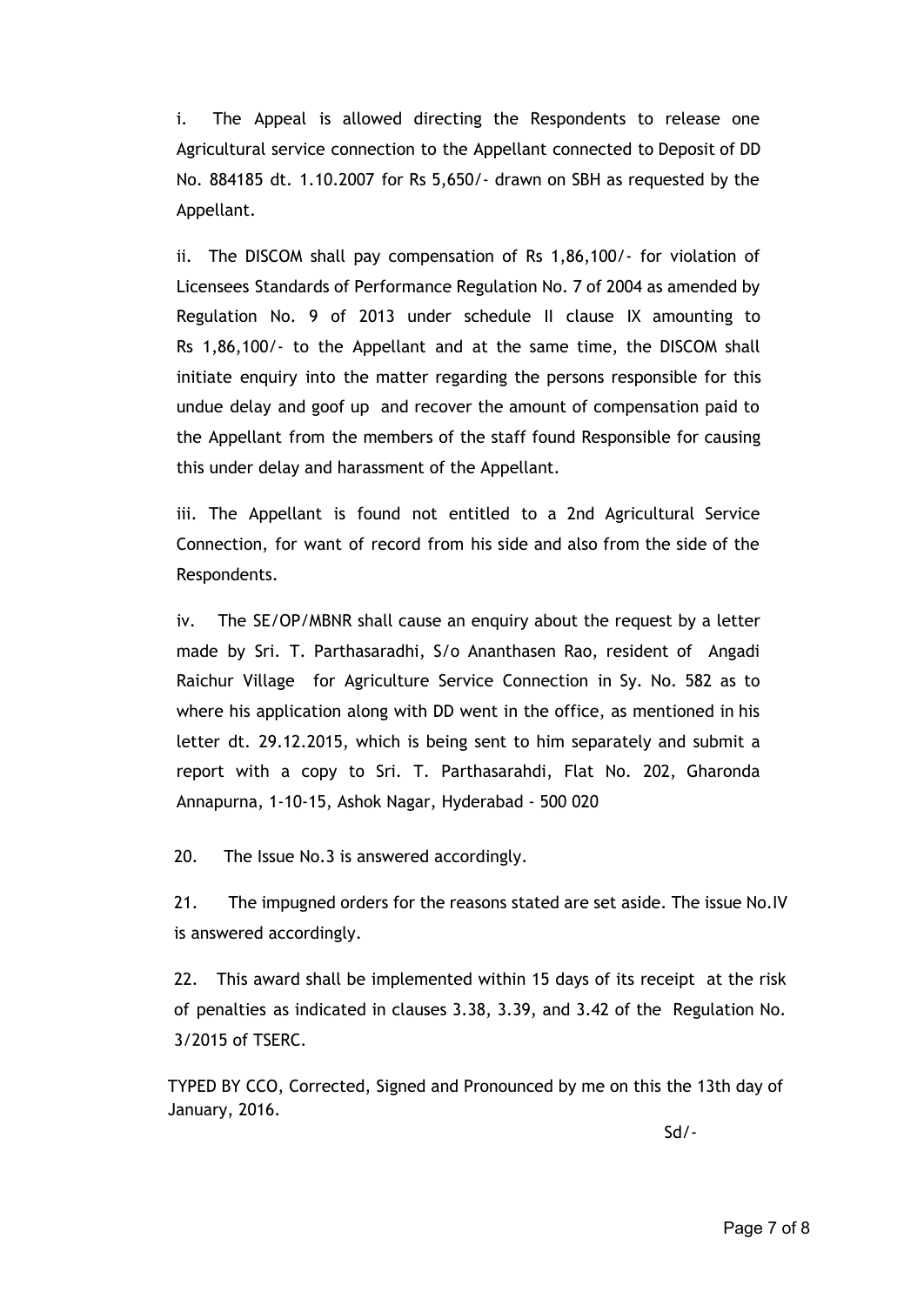i. The Appeal is allowed directing the Respondents to release one Agricultural service connection to the Appellant connected to Deposit of DD No. 884185 dt. 1.10.2007 for Rs 5,650/- drawn on SBH as requested by the Appellant.

ii. The DISCOM shall pay compensation of Rs 1,86,100/- for violation of Licensees Standards of Performance Regulation No. 7 of 2004 as amended by Regulation No. 9 of 2013 under schedule II clause IX amounting to Rs 1,86,100/- to the Appellant and at the same time, the DISCOM shall initiate enquiry into the matter regarding the persons responsible for this undue delay and goof up and recover the amount of compensation paid to the Appellant from the members of the staff found Responsible for causing this under delay and harassment of the Appellant.

iii. The Appellant is found not entitled to a 2nd Agricultural Service Connection, for want of record from his side and also from the side of the Respondents.

iv. The SE/OP/MBNR shall cause an enquiry about the request by a letter made by Sri. T. Parthasaradhi, S/o Ananthasen Rao, resident of Angadi Raichur Village for Agriculture Service Connection in Sy. No. 582 as to where his application along with DD went in the office, as mentioned in his letter dt. 29.12.2015, which is being sent to him separately and submit a report with a copy to Sri. T. Parthasarahdi, Flat No. 202, Gharonda Annapurna, 1-10-15, Ashok Nagar, Hyderabad - 500 020

20. The Issue No.3 is answered accordingly.

21. The impugned orders for the reasons stated are set aside. The issue No.IV is answered accordingly.

22. This award shall be implemented within 15 days of its receipt at the risk of penalties as indicated in clauses 3.38, 3.39, and 3.42 of the Regulation No. 3/2015 of TSERC.

 TYPED BY CCO, Corrected, Signed and Pronounced by me on this the 13th day of January, 2016.

Sd/-